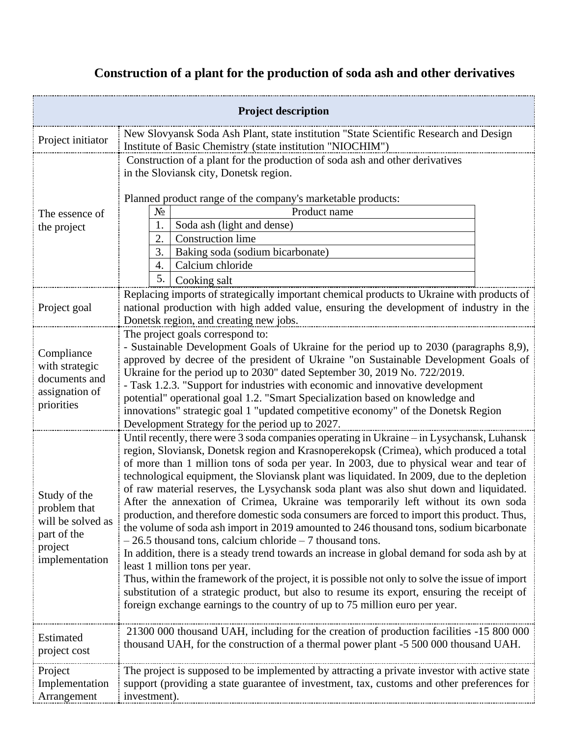## **Construction of a plant for the production of soda ash and other derivatives**

| <b>Project description</b>                                                                    |                                                                                                                                                                                                                                                                                                                                                                                                                                                                                                                                                                                                                                                                                                                                                                                                                                                                                                                                                                                                                                                                                                                                                                                                                                        |  |  |
|-----------------------------------------------------------------------------------------------|----------------------------------------------------------------------------------------------------------------------------------------------------------------------------------------------------------------------------------------------------------------------------------------------------------------------------------------------------------------------------------------------------------------------------------------------------------------------------------------------------------------------------------------------------------------------------------------------------------------------------------------------------------------------------------------------------------------------------------------------------------------------------------------------------------------------------------------------------------------------------------------------------------------------------------------------------------------------------------------------------------------------------------------------------------------------------------------------------------------------------------------------------------------------------------------------------------------------------------------|--|--|
| Project initiator                                                                             | New Slovyansk Soda Ash Plant, state institution "State Scientific Research and Design<br>Institute of Basic Chemistry (state institution "NIOCHIM")                                                                                                                                                                                                                                                                                                                                                                                                                                                                                                                                                                                                                                                                                                                                                                                                                                                                                                                                                                                                                                                                                    |  |  |
| The essence of<br>the project                                                                 | Construction of a plant for the production of soda ash and other derivatives<br>in the Sloviansk city, Donetsk region.<br>Planned product range of the company's marketable products:<br>$N_2$<br>Product name<br>Soda ash (light and dense)<br>1.<br><b>Construction</b> lime<br>2.<br>3.<br>Baking soda (sodium bicarbonate)<br>Calcium chloride<br>4.<br>5.<br>Cooking salt                                                                                                                                                                                                                                                                                                                                                                                                                                                                                                                                                                                                                                                                                                                                                                                                                                                         |  |  |
| Project goal                                                                                  | Replacing imports of strategically important chemical products to Ukraine with products of<br>national production with high added value, ensuring the development of industry in the<br>Donetsk region, and creating new jobs.                                                                                                                                                                                                                                                                                                                                                                                                                                                                                                                                                                                                                                                                                                                                                                                                                                                                                                                                                                                                         |  |  |
| Compliance<br>with strategic<br>documents and<br>assignation of<br>priorities                 | The project goals correspond to:<br>- Sustainable Development Goals of Ukraine for the period up to 2030 (paragraphs 8,9),<br>approved by decree of the president of Ukraine "on Sustainable Development Goals of<br>Ukraine for the period up to 2030" dated September 30, 2019 No. 722/2019.<br>- Task 1.2.3. "Support for industries with economic and innovative development<br>potential" operational goal 1.2. "Smart Specialization based on knowledge and<br>innovations" strategic goal 1 "updated competitive economy" of the Donetsk Region<br>Development Strategy for the period up to 2027.                                                                                                                                                                                                                                                                                                                                                                                                                                                                                                                                                                                                                              |  |  |
| Study of the<br>problem that<br>will be solved as<br>part of the<br>project<br>implementation | Until recently, there were 3 soda companies operating in Ukraine – in Lysychansk, Luhansk<br>region, Sloviansk, Donetsk region and Krasnoperekopsk (Crimea), which produced a total<br>of more than 1 million tons of soda per year. In 2003, due to physical wear and tear of<br>technological equipment, the Sloviansk plant was liquidated. In 2009, due to the depletion<br>of raw material reserves, the Lysychansk soda plant was also shut down and liquidated.<br>After the annexation of Crimea, Ukraine was temporarily left without its own soda<br>production, and therefore domestic soda consumers are forced to import this product. Thus,<br>the volume of soda ash import in 2019 amounted to 246 thousand tons, sodium bicarbonate<br>$-26.5$ thousand tons, calcium chloride $-7$ thousand tons.<br>In addition, there is a steady trend towards an increase in global demand for soda ash by at<br>least 1 million tons per year.<br>Thus, within the framework of the project, it is possible not only to solve the issue of import<br>substitution of a strategic product, but also to resume its export, ensuring the receipt of<br>foreign exchange earnings to the country of up to 75 million euro per year. |  |  |
| Estimated<br>project cost                                                                     | 21300 000 thousand UAH, including for the creation of production facilities -15 800 000<br>thousand UAH, for the construction of a thermal power plant -5 500 000 thousand UAH.                                                                                                                                                                                                                                                                                                                                                                                                                                                                                                                                                                                                                                                                                                                                                                                                                                                                                                                                                                                                                                                        |  |  |
| Project<br>Implementation<br>Arrangement                                                      | The project is supposed to be implemented by attracting a private investor with active state<br>support (providing a state guarantee of investment, tax, customs and other preferences for<br>investment).                                                                                                                                                                                                                                                                                                                                                                                                                                                                                                                                                                                                                                                                                                                                                                                                                                                                                                                                                                                                                             |  |  |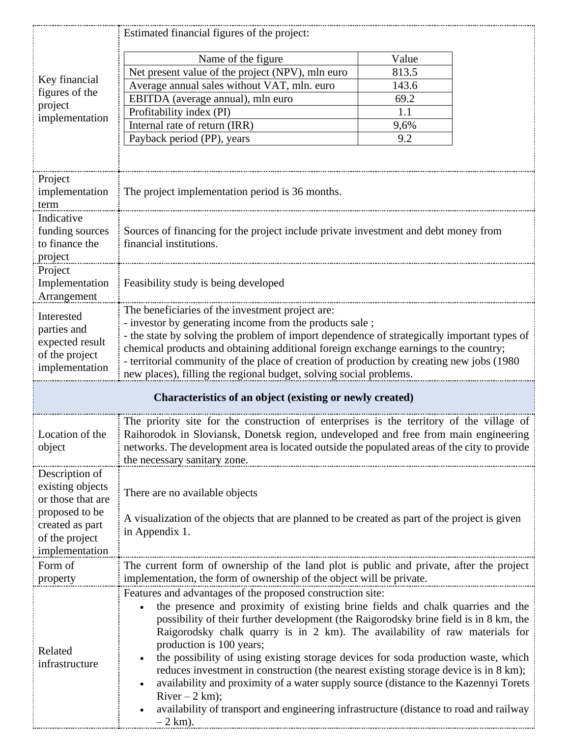|                                                                                                                | Estimated financial figures of the project:                                                                                                                                                                                                                                                                                                                                                                                                                                                                                                                                                                                                                                                                                                       |             |  |  |
|----------------------------------------------------------------------------------------------------------------|---------------------------------------------------------------------------------------------------------------------------------------------------------------------------------------------------------------------------------------------------------------------------------------------------------------------------------------------------------------------------------------------------------------------------------------------------------------------------------------------------------------------------------------------------------------------------------------------------------------------------------------------------------------------------------------------------------------------------------------------------|-------------|--|--|
| Key financial<br>figures of the<br>project<br>implementation                                                   | Name of the figure                                                                                                                                                                                                                                                                                                                                                                                                                                                                                                                                                                                                                                                                                                                                | Value       |  |  |
|                                                                                                                | Net present value of the project (NPV), mln euro                                                                                                                                                                                                                                                                                                                                                                                                                                                                                                                                                                                                                                                                                                  | 813.5       |  |  |
|                                                                                                                | Average annual sales without VAT, mln. euro                                                                                                                                                                                                                                                                                                                                                                                                                                                                                                                                                                                                                                                                                                       | 143.6       |  |  |
|                                                                                                                | EBITDA (average annual), mln euro                                                                                                                                                                                                                                                                                                                                                                                                                                                                                                                                                                                                                                                                                                                 | 69.2        |  |  |
|                                                                                                                | Profitability index (PI)                                                                                                                                                                                                                                                                                                                                                                                                                                                                                                                                                                                                                                                                                                                          | 1.1         |  |  |
|                                                                                                                | Internal rate of return (IRR)                                                                                                                                                                                                                                                                                                                                                                                                                                                                                                                                                                                                                                                                                                                     | 9,6%<br>9.2 |  |  |
|                                                                                                                | Payback period (PP), years                                                                                                                                                                                                                                                                                                                                                                                                                                                                                                                                                                                                                                                                                                                        |             |  |  |
|                                                                                                                |                                                                                                                                                                                                                                                                                                                                                                                                                                                                                                                                                                                                                                                                                                                                                   |             |  |  |
| Project<br>implementation<br>term                                                                              | The project implementation period is 36 months.                                                                                                                                                                                                                                                                                                                                                                                                                                                                                                                                                                                                                                                                                                   |             |  |  |
| Indicative<br>funding sources<br>to finance the<br>project                                                     | Sources of financing for the project include private investment and debt money from<br>financial institutions.                                                                                                                                                                                                                                                                                                                                                                                                                                                                                                                                                                                                                                    |             |  |  |
| Project<br>Implementation<br>Arrangement                                                                       | Feasibility study is being developed                                                                                                                                                                                                                                                                                                                                                                                                                                                                                                                                                                                                                                                                                                              |             |  |  |
| Interested<br>parties and<br>expected result<br>of the project<br>implementation                               | The beneficiaries of the investment project are:<br>- investor by generating income from the products sale;<br>- the state by solving the problem of import dependence of strategically important types of<br>chemical products and obtaining additional foreign exchange earnings to the country;<br>- territorial community of the place of creation of production by creating new jobs (1980)<br>new places), filling the regional budget, solving social problems.                                                                                                                                                                                                                                                                            |             |  |  |
| Characteristics of an object (existing or newly created)                                                       |                                                                                                                                                                                                                                                                                                                                                                                                                                                                                                                                                                                                                                                                                                                                                   |             |  |  |
| Location of the<br>object                                                                                      | The priority site for the construction of enterprises is the territory of the village of<br>Raihorodok in Sloviansk, Donetsk region, undeveloped and free from main engineering<br>networks. The development area is located outside the populated areas of the city to provide<br>the necessary sanitary zone.                                                                                                                                                                                                                                                                                                                                                                                                                                   |             |  |  |
| Description of<br>existing objects<br>or those that are<br>proposed to be<br>created as part<br>of the project | There are no available objects<br>A visualization of the objects that are planned to be created as part of the project is given<br>in Appendix 1.                                                                                                                                                                                                                                                                                                                                                                                                                                                                                                                                                                                                 |             |  |  |
| implementation<br>Form of<br>property                                                                          | The current form of ownership of the land plot is public and private, after the project<br>implementation, the form of ownership of the object will be private.                                                                                                                                                                                                                                                                                                                                                                                                                                                                                                                                                                                   |             |  |  |
| Related<br>infrastructure                                                                                      | Features and advantages of the proposed construction site:<br>the presence and proximity of existing brine fields and chalk quarries and the<br>possibility of their further development (the Raigorodsky brine field is in 8 km, the<br>Raigorodsky chalk quarry is in 2 km). The availability of raw materials for<br>production is 100 years;<br>the possibility of using existing storage devices for soda production waste, which<br>reduces investment in construction (the nearest existing storage device is in 8 km);<br>availability and proximity of a water supply source (distance to the Kazennyi Torets<br>$River - 2 km$ ;<br>availability of transport and engineering infrastructure (distance to road and railway<br>$-2$ km). |             |  |  |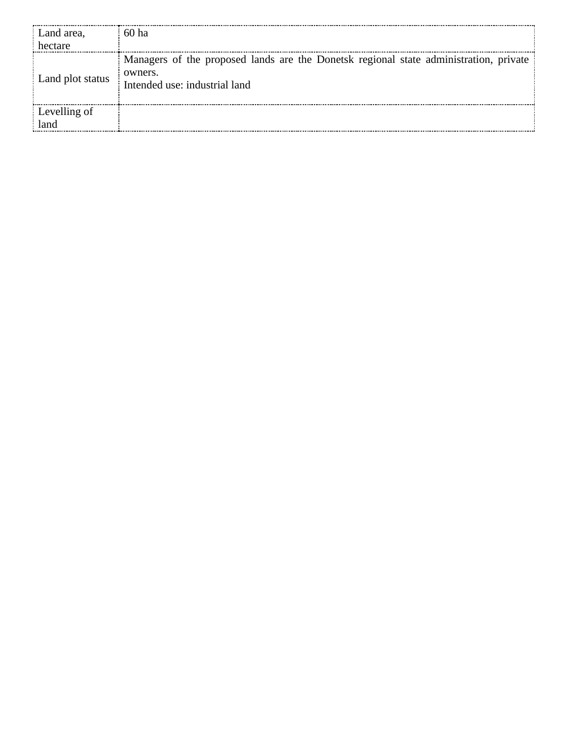| Land area.       | 60 ha                                                                                                                             |
|------------------|-----------------------------------------------------------------------------------------------------------------------------------|
|                  |                                                                                                                                   |
| Land plot status | Managers of the proposed lands are the Donetsk regional state administration, private<br>owners.<br>Intended use: industrial land |
| Levelling of     |                                                                                                                                   |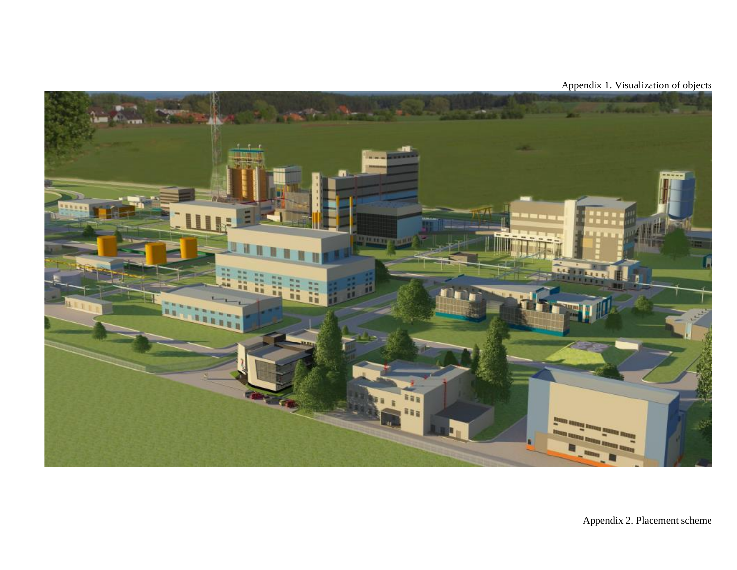

Appendix 1. Visualization of objects

Appendix 2. Placement scheme